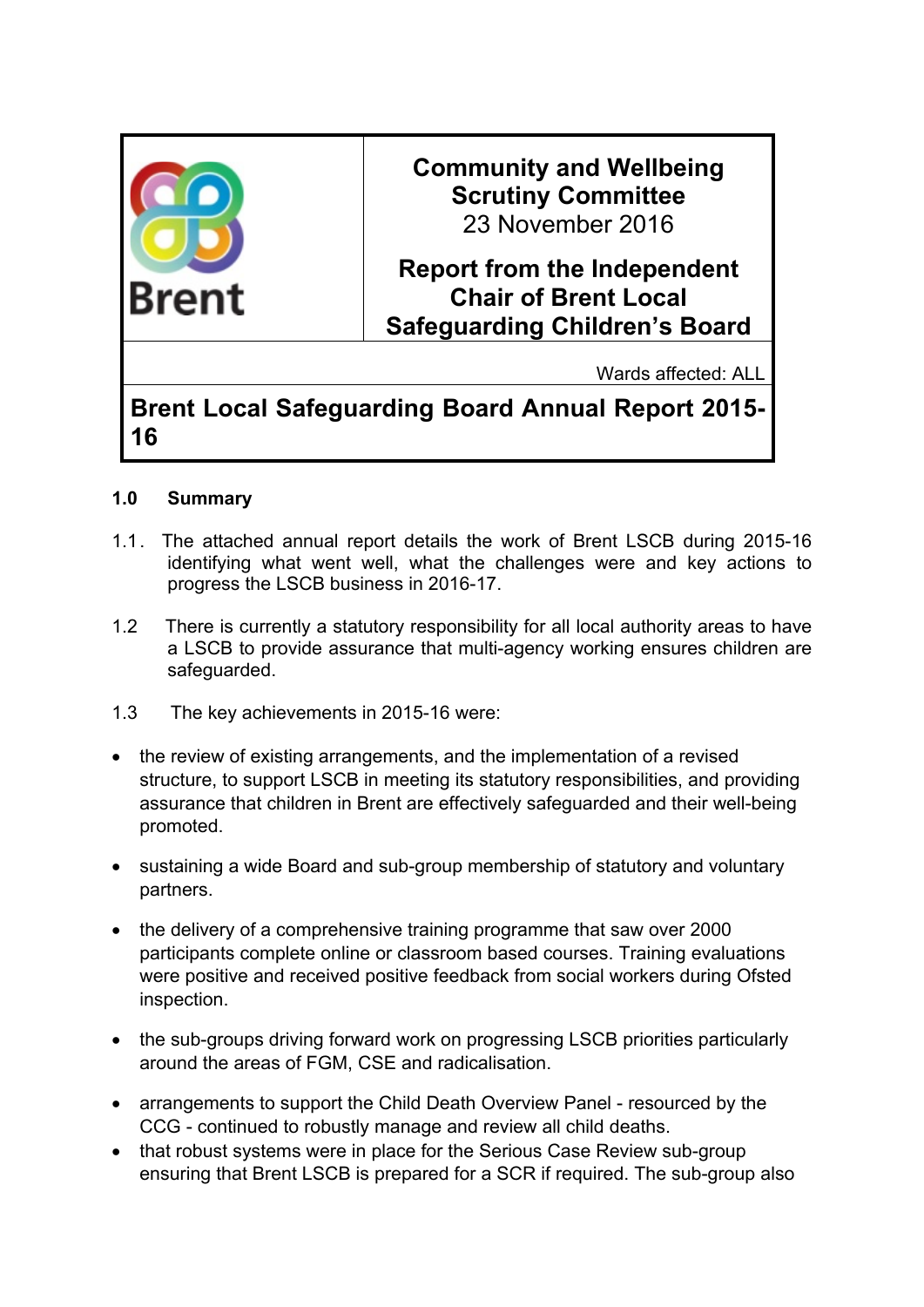

**Brent Local Safeguarding Board Annual Report 2015- 16**

## **1.0 Summary**

- 1.1. The attached annual report details the work of Brent LSCB during 2015-16 identifying what went well, what the challenges were and key actions to progress the LSCB business in 2016-17.
- 1.2 There is currently a statutory responsibility for all local authority areas to have a LSCB to provide assurance that multi-agency working ensures children are safeguarded.
- 1.3 The key achievements in 2015-16 were:
- the review of existing arrangements, and the implementation of a revised structure, to support LSCB in meeting its statutory responsibilities, and providing assurance that children in Brent are effectively safeguarded and their well-being promoted.
- sustaining a wide Board and sub-group membership of statutory and voluntary partners.
- the delivery of a comprehensive training programme that saw over 2000 participants complete online or classroom based courses. Training evaluations were positive and received positive feedback from social workers during Ofsted inspection.
- the sub-groups driving forward work on progressing LSCB priorities particularly around the areas of FGM, CSE and radicalisation.
- arrangements to support the Child Death Overview Panel resourced by the CCG - continued to robustly manage and review all child deaths.
- that robust systems were in place for the Serious Case Review sub-group ensuring that Brent LSCB is prepared for a SCR if required. The sub-group also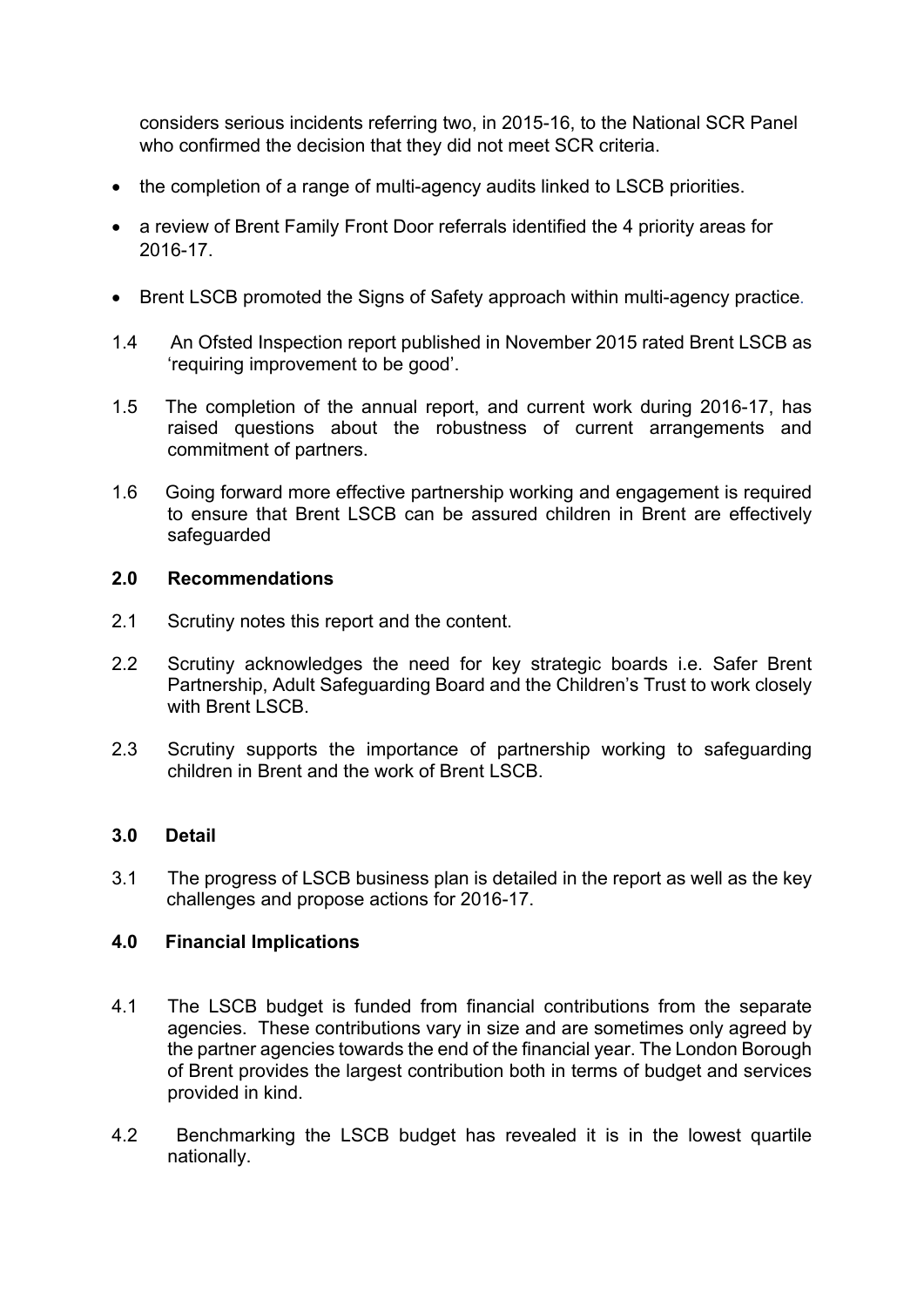considers serious incidents referring two, in 2015-16, to the National SCR Panel who confirmed the decision that they did not meet SCR criteria.

- the completion of a range of multi-agency audits linked to LSCB priorities.
- a review of Brent Family Front Door referrals identified the 4 priority areas for 2016-17.
- Brent LSCB promoted the Signs of Safety approach within multi-agency practice.
- 1.4 An Ofsted Inspection report published in November 2015 rated Brent LSCB as 'requiring improvement to be good'.
- 1.5 The completion of the annual report, and current work during 2016-17, has raised questions about the robustness of current arrangements and commitment of partners.
- 1.6 Going forward more effective partnership working and engagement is required to ensure that Brent LSCB can be assured children in Brent are effectively safeguarded

### **2.0 Recommendations**

- 2.1 Scrutiny notes this report and the content.
- 2.2 Scrutiny acknowledges the need for key strategic boards i.e. Safer Brent Partnership, Adult Safeguarding Board and the Children's Trust to work closely with Brent LSCB
- 2.3 Scrutiny supports the importance of partnership working to safeguarding children in Brent and the work of Brent LSCB.

# **3.0 Detail**

3.1 The progress of LSCB business plan is detailed in the report as well as the key challenges and propose actions for 2016-17.

# **4.0 Financial Implications**

- 4.1 The LSCB budget is funded from financial contributions from the separate agencies. These contributions vary in size and are sometimes only agreed by the partner agencies towards the end of the financial year. The London Borough of Brent provides the largest contribution both in terms of budget and services provided in kind.
- 4.2 Benchmarking the LSCB budget has revealed it is in the lowest quartile nationally.